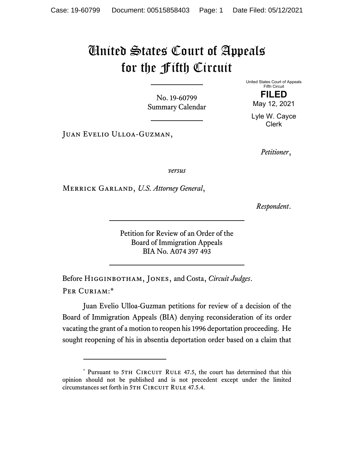## United States Court of Appeals for the Fifth Circuit

No. 19-60799 Summary Calendar

Juan Evelio Ulloa-Guzman,

United States Court of Appeals Fifth Circuit **FILED** 

May 12, 2021

Lyle W. Cayce Clerk

*Petitioner*,

*versus*

Merrick Garland, *U.S. Attorney General*,

*Respondent*.

Petition for Review of an Order of the Board of Immigration Appeals BIA No. A074 397 493

Before Higginbotham, Jones, and Costa, *Circuit Judges*. Per Curiam:\*

Juan Evelio Ulloa-Guzman petitions for review of a decision of the Board of Immigration Appeals (BIA) denying reconsideration of its order vacating the grant of a motion to reopen his 1996 deportation proceeding. He sought reopening of his in absentia deportation order based on a claim that

<sup>\*</sup> Pursuant to 5TH CIRCUIT RULE 47.5, the court has determined that this opinion should not be published and is not precedent except under the limited circumstances set forth in 5TH CIRCUIT RULE 47.5.4.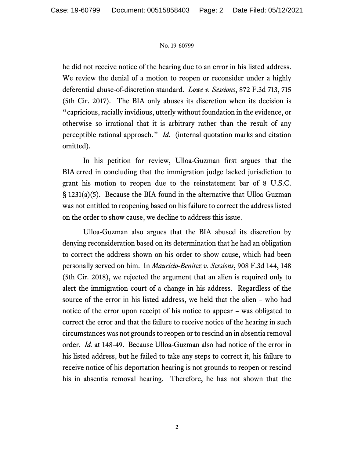## No. 19-60799

he did not receive notice of the hearing due to an error in his listed address. We review the denial of a motion to reopen or reconsider under a highly deferential abuse-of-discretion standard. *Lowe v. Sessions*, 872 F.3d 713, 715 (5th Cir. 2017). The BIA only abuses its discretion when its decision is "capricious, racially invidious, utterly without foundation in the evidence, or otherwise so irrational that it is arbitrary rather than the result of any perceptible rational approach." *Id.* (internal quotation marks and citation omitted).

In his petition for review, Ulloa-Guzman first argues that the BIA erred in concluding that the immigration judge lacked jurisdiction to grant his motion to reopen due to the reinstatement bar of 8 U.S.C. § 1231(a)(5). Because the BIA found in the alternative that Ulloa-Guzman was not entitled to reopening based on his failure to correct the address listed on the order to show cause, we decline to address this issue.

Ulloa-Guzman also argues that the BIA abused its discretion by denying reconsideration based on its determination that he had an obligation to correct the address shown on his order to show cause, which had been personally served on him. In *Mauricio-Benitez v. Sessions*, 908 F.3d 144, 148 (5th Cir. 2018), we rejected the argument that an alien is required only to alert the immigration court of a change in his address. Regardless of the source of the error in his listed address, we held that the alien – who had notice of the error upon receipt of his notice to appear – was obligated to correct the error and that the failure to receive notice of the hearing in such circumstances was not grounds to reopen or to rescind an in absentia removal order. *Id.* at 148-49. Because Ulloa-Guzman also had notice of the error in his listed address, but he failed to take any steps to correct it, his failure to receive notice of his deportation hearing is not grounds to reopen or rescind his in absentia removal hearing. Therefore, he has not shown that the